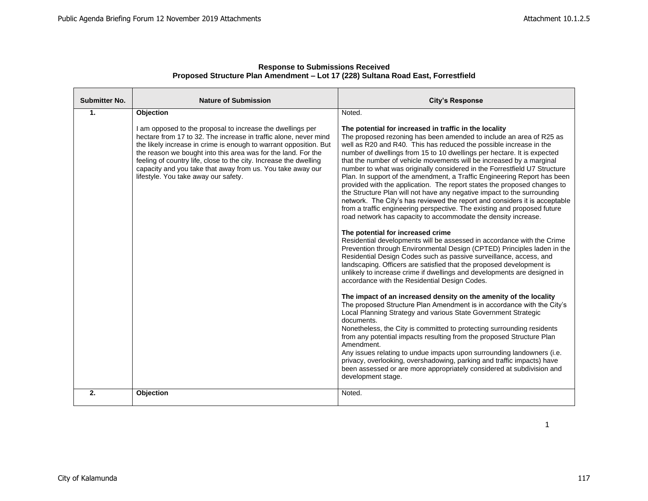| <b>Submitter No.</b> | <b>Nature of Submission</b>                                                                                                                                                                                                                                                                                                                                                                                                                     | <b>City's Response</b>                                                                                                                                                                                                                                                                                                                                                                                                                                                                                                                                                                                                                                                                                                                                                                                                                                                                             |
|----------------------|-------------------------------------------------------------------------------------------------------------------------------------------------------------------------------------------------------------------------------------------------------------------------------------------------------------------------------------------------------------------------------------------------------------------------------------------------|----------------------------------------------------------------------------------------------------------------------------------------------------------------------------------------------------------------------------------------------------------------------------------------------------------------------------------------------------------------------------------------------------------------------------------------------------------------------------------------------------------------------------------------------------------------------------------------------------------------------------------------------------------------------------------------------------------------------------------------------------------------------------------------------------------------------------------------------------------------------------------------------------|
| $\mathbf{1}$ .       | Objection                                                                                                                                                                                                                                                                                                                                                                                                                                       | Noted.                                                                                                                                                                                                                                                                                                                                                                                                                                                                                                                                                                                                                                                                                                                                                                                                                                                                                             |
|                      | I am opposed to the proposal to increase the dwellings per<br>hectare from 17 to 32. The increase in traffic alone, never mind<br>the likely increase in crime is enough to warrant opposition. But<br>the reason we bought into this area was for the land. For the<br>feeling of country life, close to the city. Increase the dwelling<br>capacity and you take that away from us. You take away our<br>lifestyle. You take away our safety. | The potential for increased in traffic in the locality<br>The proposed rezoning has been amended to include an area of R25 as<br>well as R20 and R40. This has reduced the possible increase in the<br>number of dwellings from 15 to 10 dwellings per hectare. It is expected<br>that the number of vehicle movements will be increased by a marginal<br>number to what was originally considered in the Forrestfield U7 Structure<br>Plan. In support of the amendment, a Traffic Engineering Report has been<br>provided with the application. The report states the proposed changes to<br>the Structure Plan will not have any negative impact to the surrounding<br>network. The City's has reviewed the report and considers it is acceptable<br>from a traffic engineering perspective. The existing and proposed future<br>road network has capacity to accommodate the density increase. |
|                      |                                                                                                                                                                                                                                                                                                                                                                                                                                                 | The potential for increased crime<br>Residential developments will be assessed in accordance with the Crime<br>Prevention through Environmental Design (CPTED) Principles laden in the<br>Residential Design Codes such as passive surveillance, access, and<br>landscaping. Officers are satisfied that the proposed development is<br>unlikely to increase crime if dwellings and developments are designed in<br>accordance with the Residential Design Codes.                                                                                                                                                                                                                                                                                                                                                                                                                                  |
|                      |                                                                                                                                                                                                                                                                                                                                                                                                                                                 | The impact of an increased density on the amenity of the locality<br>The proposed Structure Plan Amendment is in accordance with the City's<br>Local Planning Strategy and various State Government Strategic<br>documents.<br>Nonetheless, the City is committed to protecting surrounding residents<br>from any potential impacts resulting from the proposed Structure Plan<br>Amendment.<br>Any issues relating to undue impacts upon surrounding landowners (i.e.<br>privacy, overlooking, overshadowing, parking and traffic impacts) have<br>been assessed or are more appropriately considered at subdivision and<br>development stage.                                                                                                                                                                                                                                                    |
| 2.                   | Objection                                                                                                                                                                                                                                                                                                                                                                                                                                       | Noted.                                                                                                                                                                                                                                                                                                                                                                                                                                                                                                                                                                                                                                                                                                                                                                                                                                                                                             |

1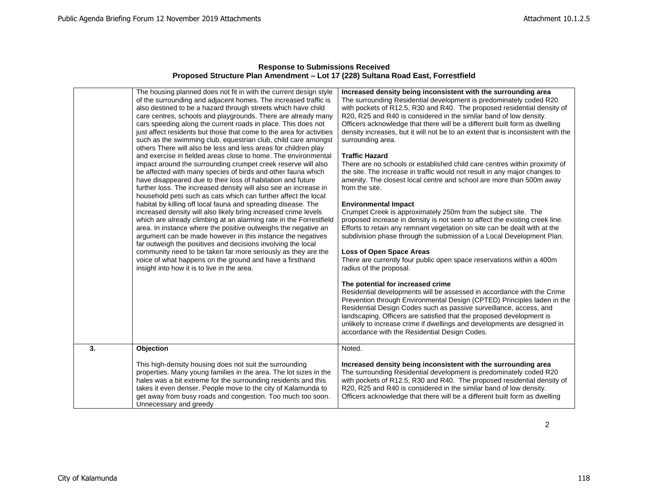|    | The housing planned does not fit in with the current design style<br>of the surrounding and adjacent homes. The increased traffic is<br>also destined to be a hazard through streets which have child<br>care centres, schools and playgrounds. There are already many<br>cars speeding along the current roads in place. This does not<br>just affect residents but those that come to the area for activities<br>such as the swimming club, equestrian club, child care amongst<br>others There will also be less and less areas for children play<br>and exercise in fielded areas close to home. The environmental<br>impact around the surrounding crumpet creek reserve will also<br>be affected with many species of birds and other fauna which<br>have disappeared due to their loss of habitation and future<br>further loss. The increased density will also see an increase in<br>household pets such as cats which can further affect the local<br>habitat by killing off local fauna and spreading disease. The<br>increased density will also likely bring increased crime levels<br>which are already climbing at an alarming rate in the Forrestfield<br>area. In instance where the positive outweighs the negative an<br>argument can be made however in this instance the negatives<br>far outweigh the positives and decisions involving the local<br>community need to be taken far more seriously as they are the<br>voice of what happens on the ground and have a firsthand<br>insight into how it is to live in the area. | Increased density being inconsistent with the surrounding area<br>The surrounding Residential development is predominately coded R20<br>with pockets of R12.5, R30 and R40. The proposed residential density of<br>R20, R25 and R40 is considered in the similar band of low density.<br>Officers acknowledge that there will be a different built form as dwelling<br>density increases, but it will not be to an extent that is inconsistent with the<br>surrounding area.<br><b>Traffic Hazard</b><br>There are no schools or established child care centres within proximity of<br>the site. The increase in traffic would not result in any major changes to<br>amenity. The closest local centre and school are more than 500m away<br>from the site.<br><b>Environmental Impact</b><br>Crumpet Creek is approximately 250m from the subject site. The<br>proposed increase in density is not seen to affect the existing creek line.<br>Efforts to retain any remnant vegetation on site can be dealt with at the<br>subdivision phase through the submission of a Local Development Plan.<br>Loss of Open Space Areas<br>There are currently four public open space reservations within a 400m<br>radius of the proposal.<br>The potential for increased crime<br>Residential developments will be assessed in accordance with the Crime<br>Prevention through Environmental Design (CPTED) Principles laden in the<br>Residential Design Codes such as passive surveillance, access, and<br>landscaping. Officers are satisfied that the proposed development is<br>unlikely to increase crime if dwellings and developments are designed in<br>accordance with the Residential Design Codes. |
|----|-----------------------------------------------------------------------------------------------------------------------------------------------------------------------------------------------------------------------------------------------------------------------------------------------------------------------------------------------------------------------------------------------------------------------------------------------------------------------------------------------------------------------------------------------------------------------------------------------------------------------------------------------------------------------------------------------------------------------------------------------------------------------------------------------------------------------------------------------------------------------------------------------------------------------------------------------------------------------------------------------------------------------------------------------------------------------------------------------------------------------------------------------------------------------------------------------------------------------------------------------------------------------------------------------------------------------------------------------------------------------------------------------------------------------------------------------------------------------------------------------------------------------------------------------------|--------------------------------------------------------------------------------------------------------------------------------------------------------------------------------------------------------------------------------------------------------------------------------------------------------------------------------------------------------------------------------------------------------------------------------------------------------------------------------------------------------------------------------------------------------------------------------------------------------------------------------------------------------------------------------------------------------------------------------------------------------------------------------------------------------------------------------------------------------------------------------------------------------------------------------------------------------------------------------------------------------------------------------------------------------------------------------------------------------------------------------------------------------------------------------------------------------------------------------------------------------------------------------------------------------------------------------------------------------------------------------------------------------------------------------------------------------------------------------------------------------------------------------------------------------------------------------------------------------------------------------------------------------------------------------------------------------|
| 3. | Objection                                                                                                                                                                                                                                                                                                                                                                                                                                                                                                                                                                                                                                                                                                                                                                                                                                                                                                                                                                                                                                                                                                                                                                                                                                                                                                                                                                                                                                                                                                                                           | Noted.                                                                                                                                                                                                                                                                                                                                                                                                                                                                                                                                                                                                                                                                                                                                                                                                                                                                                                                                                                                                                                                                                                                                                                                                                                                                                                                                                                                                                                                                                                                                                                                                                                                                                                 |
|    | This high-density housing does not suit the surrounding<br>properties. Many young families in the area. The lot sizes in the<br>hales was a bit extreme for the surrounding residents and this<br>takes it even denser. People move to the city of Kalamunda to<br>get away from busy roads and congestion. Too much too soon.<br>Unnecessary and greedy                                                                                                                                                                                                                                                                                                                                                                                                                                                                                                                                                                                                                                                                                                                                                                                                                                                                                                                                                                                                                                                                                                                                                                                            | Increased density being inconsistent with the surrounding area<br>The surrounding Residential development is predominately coded R20<br>with pockets of R12.5, R30 and R40. The proposed residential density of<br>R20, R25 and R40 is considered in the similar band of low density.<br>Officers acknowledge that there will be a different built form as dwelling                                                                                                                                                                                                                                                                                                                                                                                                                                                                                                                                                                                                                                                                                                                                                                                                                                                                                                                                                                                                                                                                                                                                                                                                                                                                                                                                    |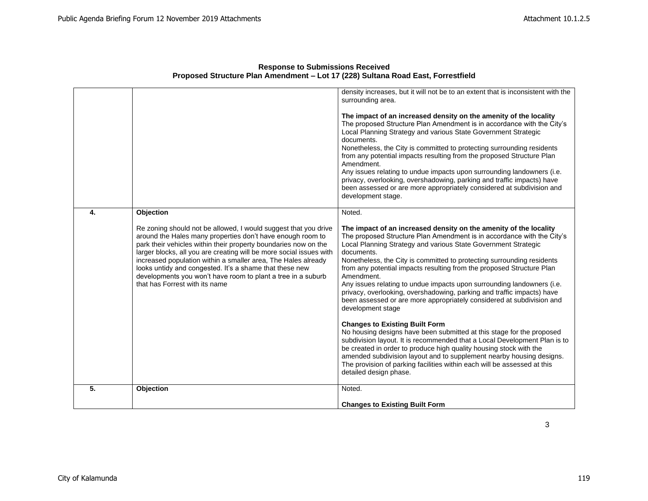|    |                                                                                                                                                                                                                                                                                                                                                                                                                                                                                                                    | density increases, but it will not be to an extent that is inconsistent with the<br>surrounding area.<br>The impact of an increased density on the amenity of the locality<br>The proposed Structure Plan Amendment is in accordance with the City's<br>Local Planning Strategy and various State Government Strategic<br>documents.<br>Nonetheless, the City is committed to protecting surrounding residents<br>from any potential impacts resulting from the proposed Structure Plan<br>Amendment.<br>Any issues relating to undue impacts upon surrounding landowners (i.e.<br>privacy, overlooking, overshadowing, parking and traffic impacts) have<br>been assessed or are more appropriately considered at subdivision and<br>development stage.                                                                                                                                                                                                                                                                                                                                                    |
|----|--------------------------------------------------------------------------------------------------------------------------------------------------------------------------------------------------------------------------------------------------------------------------------------------------------------------------------------------------------------------------------------------------------------------------------------------------------------------------------------------------------------------|-------------------------------------------------------------------------------------------------------------------------------------------------------------------------------------------------------------------------------------------------------------------------------------------------------------------------------------------------------------------------------------------------------------------------------------------------------------------------------------------------------------------------------------------------------------------------------------------------------------------------------------------------------------------------------------------------------------------------------------------------------------------------------------------------------------------------------------------------------------------------------------------------------------------------------------------------------------------------------------------------------------------------------------------------------------------------------------------------------------|
| 4. | Objection<br>Re zoning should not be allowed, I would suggest that you drive<br>around the Hales many properties don't have enough room to<br>park their vehicles within their property boundaries now on the<br>larger blocks, all you are creating will be more social issues with<br>increased population within a smaller area, The Hales already<br>looks untidy and congested. It's a shame that these new<br>developments you won't have room to plant a tree in a suburb<br>that has Forrest with its name | Noted.<br>The impact of an increased density on the amenity of the locality<br>The proposed Structure Plan Amendment is in accordance with the City's<br>Local Planning Strategy and various State Government Strategic<br>documents.<br>Nonetheless, the City is committed to protecting surrounding residents<br>from any potential impacts resulting from the proposed Structure Plan<br>Amendment.<br>Any issues relating to undue impacts upon surrounding landowners (i.e.<br>privacy, overlooking, overshadowing, parking and traffic impacts) have<br>been assessed or are more appropriately considered at subdivision and<br>development stage<br><b>Changes to Existing Built Form</b><br>No housing designs have been submitted at this stage for the proposed<br>subdivision layout. It is recommended that a Local Development Plan is to<br>be created in order to produce high quality housing stock with the<br>amended subdivision layout and to supplement nearby housing designs.<br>The provision of parking facilities within each will be assessed at this<br>detailed design phase. |
| 5. | Objection                                                                                                                                                                                                                                                                                                                                                                                                                                                                                                          | Noted.                                                                                                                                                                                                                                                                                                                                                                                                                                                                                                                                                                                                                                                                                                                                                                                                                                                                                                                                                                                                                                                                                                      |
|    |                                                                                                                                                                                                                                                                                                                                                                                                                                                                                                                    | <b>Changes to Existing Built Form</b>                                                                                                                                                                                                                                                                                                                                                                                                                                                                                                                                                                                                                                                                                                                                                                                                                                                                                                                                                                                                                                                                       |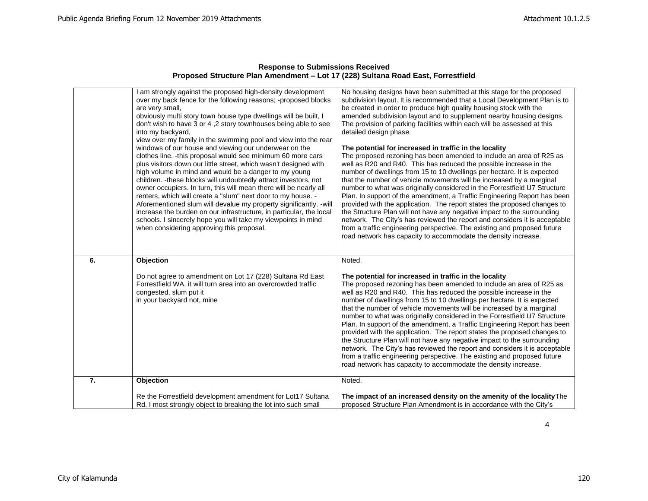| <b>Response to Submissions Received</b>                                          |
|----------------------------------------------------------------------------------|
| Proposed Structure Plan Amendment – Lot 17 (228) Sultana Road East, Forrestfield |

|    | I am strongly against the proposed high-density development<br>over my back fence for the following reasons; -proposed blocks<br>are very small,<br>obviously multi story town house type dwellings will be built, I<br>don't wish to have 3 or 4,2 story townhouses being able to see<br>into my backyard,<br>view over my family in the swimming pool and view into the rear<br>windows of our house and viewing our underwear on the<br>clothes line. - this proposal would see minimum 60 more cars<br>plus visitors down our little street, which wasn't designed with<br>high volume in mind and would be a danger to my young<br>children. - these blocks will undoubtedly attract investors, not<br>owner occupiers. In turn, this will mean there will be nearly all<br>renters, which will create a "slum" next door to my house. -<br>Aforementioned slum will devalue my property significantly. -will<br>increase the burden on our infrastructure, in particular, the local<br>schools. I sincerely hope you will take my viewpoints in mind<br>when considering approving this proposal. | No housing designs have been submitted at this stage for the proposed<br>subdivision layout. It is recommended that a Local Development Plan is to<br>be created in order to produce high quality housing stock with the<br>amended subdivision layout and to supplement nearby housing designs.<br>The provision of parking facilities within each will be assessed at this<br>detailed design phase.<br>The potential for increased in traffic in the locality<br>The proposed rezoning has been amended to include an area of R25 as<br>well as R20 and R40. This has reduced the possible increase in the<br>number of dwellings from 15 to 10 dwellings per hectare. It is expected<br>that the number of vehicle movements will be increased by a marginal<br>number to what was originally considered in the Forrestfield U7 Structure<br>Plan. In support of the amendment, a Traffic Engineering Report has been<br>provided with the application. The report states the proposed changes to<br>the Structure Plan will not have any negative impact to the surrounding<br>network. The City's has reviewed the report and considers it is acceptable<br>from a traffic engineering perspective. The existing and proposed future<br>road network has capacity to accommodate the density increase. |
|----|---------------------------------------------------------------------------------------------------------------------------------------------------------------------------------------------------------------------------------------------------------------------------------------------------------------------------------------------------------------------------------------------------------------------------------------------------------------------------------------------------------------------------------------------------------------------------------------------------------------------------------------------------------------------------------------------------------------------------------------------------------------------------------------------------------------------------------------------------------------------------------------------------------------------------------------------------------------------------------------------------------------------------------------------------------------------------------------------------------|--------------------------------------------------------------------------------------------------------------------------------------------------------------------------------------------------------------------------------------------------------------------------------------------------------------------------------------------------------------------------------------------------------------------------------------------------------------------------------------------------------------------------------------------------------------------------------------------------------------------------------------------------------------------------------------------------------------------------------------------------------------------------------------------------------------------------------------------------------------------------------------------------------------------------------------------------------------------------------------------------------------------------------------------------------------------------------------------------------------------------------------------------------------------------------------------------------------------------------------------------------------------------------------------------------------|
| 6. | Objection                                                                                                                                                                                                                                                                                                                                                                                                                                                                                                                                                                                                                                                                                                                                                                                                                                                                                                                                                                                                                                                                                               | Noted.                                                                                                                                                                                                                                                                                                                                                                                                                                                                                                                                                                                                                                                                                                                                                                                                                                                                                                                                                                                                                                                                                                                                                                                                                                                                                                       |
|    | Do not agree to amendment on Lot 17 (228) Sultana Rd East<br>Forrestfield WA, it will turn area into an overcrowded traffic<br>congested, slum put it<br>in your backyard not, mine                                                                                                                                                                                                                                                                                                                                                                                                                                                                                                                                                                                                                                                                                                                                                                                                                                                                                                                     | The potential for increased in traffic in the locality<br>The proposed rezoning has been amended to include an area of R25 as<br>well as R20 and R40. This has reduced the possible increase in the<br>number of dwellings from 15 to 10 dwellings per hectare. It is expected<br>that the number of vehicle movements will be increased by a marginal<br>number to what was originally considered in the Forrestfield U7 Structure<br>Plan. In support of the amendment, a Traffic Engineering Report has been<br>provided with the application. The report states the proposed changes to<br>the Structure Plan will not have any negative impact to the surrounding<br>network. The City's has reviewed the report and considers it is acceptable<br>from a traffic engineering perspective. The existing and proposed future<br>road network has capacity to accommodate the density increase.                                                                                                                                                                                                                                                                                                                                                                                                           |
| 7. | Objection                                                                                                                                                                                                                                                                                                                                                                                                                                                                                                                                                                                                                                                                                                                                                                                                                                                                                                                                                                                                                                                                                               | Noted.                                                                                                                                                                                                                                                                                                                                                                                                                                                                                                                                                                                                                                                                                                                                                                                                                                                                                                                                                                                                                                                                                                                                                                                                                                                                                                       |
|    | Re the Forrestfield development amendment for Lot17 Sultana<br>Rd. I most strongly object to breaking the lot into such small                                                                                                                                                                                                                                                                                                                                                                                                                                                                                                                                                                                                                                                                                                                                                                                                                                                                                                                                                                           | The impact of an increased density on the amenity of the locality The<br>proposed Structure Plan Amendment is in accordance with the City's                                                                                                                                                                                                                                                                                                                                                                                                                                                                                                                                                                                                                                                                                                                                                                                                                                                                                                                                                                                                                                                                                                                                                                  |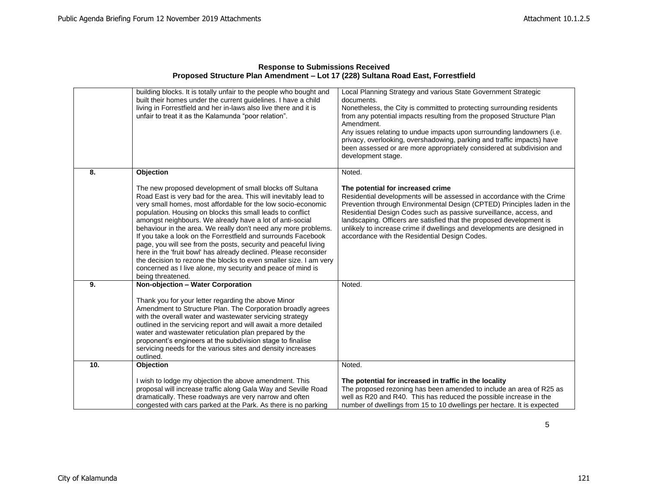| <b>Response to Submissions Received</b>                                          |
|----------------------------------------------------------------------------------|
| Proposed Structure Plan Amendment - Lot 17 (228) Sultana Road East, Forrestfield |

|     | building blocks. It is totally unfair to the people who bought and<br>built their homes under the current quidelines. I have a child<br>living in Forrestfield and her in-laws also live there and it is<br>unfair to treat it as the Kalamunda "poor relation".                                                                                                                                                                                                                                                                                                                                                                                                                                                                                          | Local Planning Strategy and various State Government Strategic<br>documents.<br>Nonetheless, the City is committed to protecting surrounding residents<br>from any potential impacts resulting from the proposed Structure Plan<br>Amendment.<br>Any issues relating to undue impacts upon surrounding landowners (i.e.<br>privacy, overlooking, overshadowing, parking and traffic impacts) have<br>been assessed or are more appropriately considered at subdivision and<br>development stage. |
|-----|-----------------------------------------------------------------------------------------------------------------------------------------------------------------------------------------------------------------------------------------------------------------------------------------------------------------------------------------------------------------------------------------------------------------------------------------------------------------------------------------------------------------------------------------------------------------------------------------------------------------------------------------------------------------------------------------------------------------------------------------------------------|--------------------------------------------------------------------------------------------------------------------------------------------------------------------------------------------------------------------------------------------------------------------------------------------------------------------------------------------------------------------------------------------------------------------------------------------------------------------------------------------------|
| 8.  | Objection                                                                                                                                                                                                                                                                                                                                                                                                                                                                                                                                                                                                                                                                                                                                                 | Noted.                                                                                                                                                                                                                                                                                                                                                                                                                                                                                           |
|     | The new proposed development of small blocks off Sultana<br>Road East is very bad for the area. This will inevitably lead to<br>very small homes, most affordable for the low socio-economic<br>population. Housing on blocks this small leads to conflict<br>amongst neighbours. We already have a lot of anti-social<br>behaviour in the area. We really don't need any more problems.<br>If you take a look on the Forrestfield and surrounds Facebook<br>page, you will see from the posts, security and peaceful living<br>here in the 'fruit bowl' has already declined. Please reconsider<br>the decision to rezone the blocks to even smaller size. I am very<br>concerned as I live alone, my security and peace of mind is<br>being threatened. | The potential for increased crime<br>Residential developments will be assessed in accordance with the Crime<br>Prevention through Environmental Design (CPTED) Principles laden in the<br>Residential Design Codes such as passive surveillance, access, and<br>landscaping. Officers are satisfied that the proposed development is<br>unlikely to increase crime if dwellings and developments are designed in<br>accordance with the Residential Design Codes.                                |
| 9.  | Non-objection - Water Corporation                                                                                                                                                                                                                                                                                                                                                                                                                                                                                                                                                                                                                                                                                                                         | Noted.                                                                                                                                                                                                                                                                                                                                                                                                                                                                                           |
|     | Thank you for your letter regarding the above Minor<br>Amendment to Structure Plan. The Corporation broadly agrees<br>with the overall water and wastewater servicing strategy<br>outlined in the servicing report and will await a more detailed<br>water and wastewater reticulation plan prepared by the<br>proponent's engineers at the subdivision stage to finalise<br>servicing needs for the various sites and density increases<br>outlined.                                                                                                                                                                                                                                                                                                     |                                                                                                                                                                                                                                                                                                                                                                                                                                                                                                  |
| 10. | <b>Objection</b>                                                                                                                                                                                                                                                                                                                                                                                                                                                                                                                                                                                                                                                                                                                                          | Noted.                                                                                                                                                                                                                                                                                                                                                                                                                                                                                           |
|     | I wish to lodge my objection the above amendment. This<br>proposal will increase traffic along Gala Way and Seville Road<br>dramatically. These roadways are very narrow and often<br>congested with cars parked at the Park. As there is no parking                                                                                                                                                                                                                                                                                                                                                                                                                                                                                                      | The potential for increased in traffic in the locality<br>The proposed rezoning has been amended to include an area of R25 as<br>well as R20 and R40. This has reduced the possible increase in the<br>number of dwellings from 15 to 10 dwellings per hectare. It is expected                                                                                                                                                                                                                   |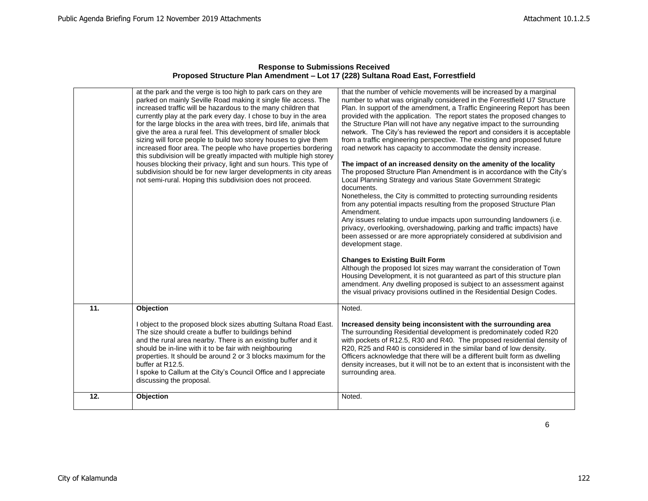|                   | at the park and the verge is too high to park cars on they are<br>parked on mainly Seville Road making it single file access. The<br>increased traffic will be hazardous to the many children that<br>currently play at the park every day. I chose to buy in the area<br>for the large blocks in the area with trees, bird life, animals that<br>give the area a rural feel. This development of smaller block<br>sizing will force people to build two storey houses to give them<br>increased floor area. The people who have properties bordering<br>this subdivision will be greatly impacted with multiple high storey<br>houses blocking their privacy, light and sun hours. This type of<br>subdivision should be for new larger developments in city areas<br>not semi-rural. Hoping this subdivision does not proceed. | that the number of vehicle movements will be increased by a marginal<br>number to what was originally considered in the Forrestfield U7 Structure<br>Plan. In support of the amendment, a Traffic Engineering Report has been<br>provided with the application. The report states the proposed changes to<br>the Structure Plan will not have any negative impact to the surrounding<br>network. The City's has reviewed the report and considers it is acceptable<br>from a traffic engineering perspective. The existing and proposed future<br>road network has capacity to accommodate the density increase.<br>The impact of an increased density on the amenity of the locality<br>The proposed Structure Plan Amendment is in accordance with the City's<br>Local Planning Strategy and various State Government Strategic<br>documents.<br>Nonetheless, the City is committed to protecting surrounding residents<br>from any potential impacts resulting from the proposed Structure Plan<br>Amendment.<br>Any issues relating to undue impacts upon surrounding landowners (i.e.<br>privacy, overlooking, overshadowing, parking and traffic impacts) have<br>been assessed or are more appropriately considered at subdivision and<br>development stage.<br><b>Changes to Existing Built Form</b><br>Although the proposed lot sizes may warrant the consideration of Town<br>Housing Development, it is not guaranteed as part of this structure plan<br>amendment. Any dwelling proposed is subject to an assessment against<br>the visual privacy provisions outlined in the Residential Design Codes. |
|-------------------|----------------------------------------------------------------------------------------------------------------------------------------------------------------------------------------------------------------------------------------------------------------------------------------------------------------------------------------------------------------------------------------------------------------------------------------------------------------------------------------------------------------------------------------------------------------------------------------------------------------------------------------------------------------------------------------------------------------------------------------------------------------------------------------------------------------------------------|----------------------------------------------------------------------------------------------------------------------------------------------------------------------------------------------------------------------------------------------------------------------------------------------------------------------------------------------------------------------------------------------------------------------------------------------------------------------------------------------------------------------------------------------------------------------------------------------------------------------------------------------------------------------------------------------------------------------------------------------------------------------------------------------------------------------------------------------------------------------------------------------------------------------------------------------------------------------------------------------------------------------------------------------------------------------------------------------------------------------------------------------------------------------------------------------------------------------------------------------------------------------------------------------------------------------------------------------------------------------------------------------------------------------------------------------------------------------------------------------------------------------------------------------------------------------------------------------------------------------|
| $\overline{11}$ . | Objection                                                                                                                                                                                                                                                                                                                                                                                                                                                                                                                                                                                                                                                                                                                                                                                                                        | Noted.                                                                                                                                                                                                                                                                                                                                                                                                                                                                                                                                                                                                                                                                                                                                                                                                                                                                                                                                                                                                                                                                                                                                                                                                                                                                                                                                                                                                                                                                                                                                                                                                               |
|                   | I object to the proposed block sizes abutting Sultana Road East.<br>The size should create a buffer to buildings behind<br>and the rural area nearby. There is an existing buffer and it<br>should be in-line with it to be fair with neighbouring<br>properties. It should be around 2 or 3 blocks maximum for the<br>buffer at R12.5.<br>I spoke to Callum at the City's Council Office and I appreciate<br>discussing the proposal.                                                                                                                                                                                                                                                                                                                                                                                           | Increased density being inconsistent with the surrounding area<br>The surrounding Residential development is predominately coded R20<br>with pockets of R12.5, R30 and R40. The proposed residential density of<br>R20, R25 and R40 is considered in the similar band of low density.<br>Officers acknowledge that there will be a different built form as dwelling<br>density increases, but it will not be to an extent that is inconsistent with the<br>surrounding area.                                                                                                                                                                                                                                                                                                                                                                                                                                                                                                                                                                                                                                                                                                                                                                                                                                                                                                                                                                                                                                                                                                                                         |
| 12.               | Objection                                                                                                                                                                                                                                                                                                                                                                                                                                                                                                                                                                                                                                                                                                                                                                                                                        | Noted.                                                                                                                                                                                                                                                                                                                                                                                                                                                                                                                                                                                                                                                                                                                                                                                                                                                                                                                                                                                                                                                                                                                                                                                                                                                                                                                                                                                                                                                                                                                                                                                                               |
|                   |                                                                                                                                                                                                                                                                                                                                                                                                                                                                                                                                                                                                                                                                                                                                                                                                                                  |                                                                                                                                                                                                                                                                                                                                                                                                                                                                                                                                                                                                                                                                                                                                                                                                                                                                                                                                                                                                                                                                                                                                                                                                                                                                                                                                                                                                                                                                                                                                                                                                                      |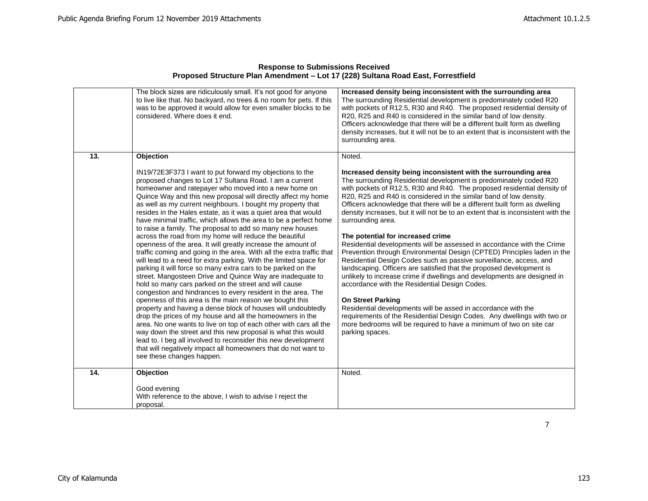|     | The block sizes are ridiculously small. It's not good for anyone<br>to live like that. No backyard, no trees & no room for pets. If this<br>was to be approved it would allow for even smaller blocks to be<br>considered. Where does it end.                                                                                                                                                                                                                                                                                                                                                                                                                                                                                                                                                                                                                                                                                                                                                                                                                                                                                                                                                                                                                                                                                                                                                                                                                                                                                              | Increased density being inconsistent with the surrounding area<br>The surrounding Residential development is predominately coded R20<br>with pockets of R12.5, R30 and R40. The proposed residential density of<br>R20, R25 and R40 is considered in the similar band of low density.<br>Officers acknowledge that there will be a different built form as dwelling<br>density increases, but it will not be to an extent that is inconsistent with the<br>surrounding area.                                                                                                                                                                                                                                                                                                                                                                                                                                                                                                                                                                                                                                                                                                                                        |
|-----|--------------------------------------------------------------------------------------------------------------------------------------------------------------------------------------------------------------------------------------------------------------------------------------------------------------------------------------------------------------------------------------------------------------------------------------------------------------------------------------------------------------------------------------------------------------------------------------------------------------------------------------------------------------------------------------------------------------------------------------------------------------------------------------------------------------------------------------------------------------------------------------------------------------------------------------------------------------------------------------------------------------------------------------------------------------------------------------------------------------------------------------------------------------------------------------------------------------------------------------------------------------------------------------------------------------------------------------------------------------------------------------------------------------------------------------------------------------------------------------------------------------------------------------------|---------------------------------------------------------------------------------------------------------------------------------------------------------------------------------------------------------------------------------------------------------------------------------------------------------------------------------------------------------------------------------------------------------------------------------------------------------------------------------------------------------------------------------------------------------------------------------------------------------------------------------------------------------------------------------------------------------------------------------------------------------------------------------------------------------------------------------------------------------------------------------------------------------------------------------------------------------------------------------------------------------------------------------------------------------------------------------------------------------------------------------------------------------------------------------------------------------------------|
| 13. | Objection                                                                                                                                                                                                                                                                                                                                                                                                                                                                                                                                                                                                                                                                                                                                                                                                                                                                                                                                                                                                                                                                                                                                                                                                                                                                                                                                                                                                                                                                                                                                  | Noted.                                                                                                                                                                                                                                                                                                                                                                                                                                                                                                                                                                                                                                                                                                                                                                                                                                                                                                                                                                                                                                                                                                                                                                                                              |
|     | IN19/72E3F373 I want to put forward my objections to the<br>proposed changes to Lot 17 Sultana Road. I am a current<br>homeowner and ratepayer who moved into a new home on<br>Quince Way and this new proposal will directly affect my home<br>as well as my current neighbours. I bought my property that<br>resides in the Hales estate, as it was a quiet area that would<br>have minimal traffic, which allows the area to be a perfect home<br>to raise a family. The proposal to add so many new houses<br>across the road from my home will reduce the beautiful<br>openness of the area. It will greatly increase the amount of<br>traffic coming and going in the area. With all the extra traffic that<br>will lead to a need for extra parking. With the limited space for<br>parking it will force so many extra cars to be parked on the<br>street. Mangosteen Drive and Quince Way are inadequate to<br>hold so many cars parked on the street and will cause<br>congestion and hindrances to every resident in the area. The<br>openness of this area is the main reason we bought this<br>property and having a dense block of houses will undoubtedly<br>drop the prices of my house and all the homeowners in the<br>area. No one wants to live on top of each other with cars all the<br>way down the street and this new proposal is what this would<br>lead to. I beg all involved to reconsider this new development<br>that will negatively impact all homeowners that do not want to<br>see these changes happen. | Increased density being inconsistent with the surrounding area<br>The surrounding Residential development is predominately coded R20<br>with pockets of R12.5, R30 and R40. The proposed residential density of<br>R20, R25 and R40 is considered in the similar band of low density.<br>Officers acknowledge that there will be a different built form as dwelling<br>density increases, but it will not be to an extent that is inconsistent with the<br>surrounding area.<br>The potential for increased crime<br>Residential developments will be assessed in accordance with the Crime<br>Prevention through Environmental Design (CPTED) Principles laden in the<br>Residential Design Codes such as passive surveillance, access, and<br>landscaping. Officers are satisfied that the proposed development is<br>unlikely to increase crime if dwellings and developments are designed in<br>accordance with the Residential Design Codes.<br><b>On Street Parking</b><br>Residential developments will be assed in accordance with the<br>requirements of the Residential Design Codes. Any dwellings with two or<br>more bedrooms will be required to have a minimum of two on site car<br>parking spaces. |
| 14. | Objection                                                                                                                                                                                                                                                                                                                                                                                                                                                                                                                                                                                                                                                                                                                                                                                                                                                                                                                                                                                                                                                                                                                                                                                                                                                                                                                                                                                                                                                                                                                                  | Noted.                                                                                                                                                                                                                                                                                                                                                                                                                                                                                                                                                                                                                                                                                                                                                                                                                                                                                                                                                                                                                                                                                                                                                                                                              |
|     | Good evening<br>With reference to the above, I wish to advise I reject the<br>proposal.                                                                                                                                                                                                                                                                                                                                                                                                                                                                                                                                                                                                                                                                                                                                                                                                                                                                                                                                                                                                                                                                                                                                                                                                                                                                                                                                                                                                                                                    |                                                                                                                                                                                                                                                                                                                                                                                                                                                                                                                                                                                                                                                                                                                                                                                                                                                                                                                                                                                                                                                                                                                                                                                                                     |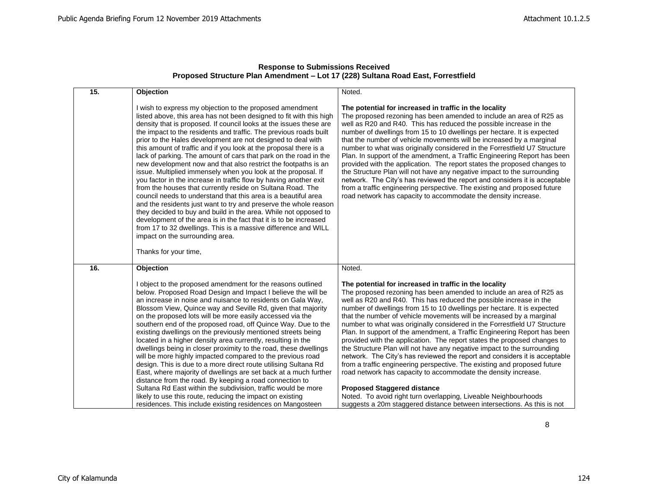| 15. | Objection                                                                                                                                                                                                                                                                                                                                                                                                                                                                                                                                                                                                                                                                                                                                                                                                                                                                                                                                                                                                                                                                                                                                                             | Noted.                                                                                                                                                                                                                                                                                                                                                                                                                                                                                                                                                                                                                                                                                                                                                                                                                                                                                                                                                                                                                                                                                 |
|-----|-----------------------------------------------------------------------------------------------------------------------------------------------------------------------------------------------------------------------------------------------------------------------------------------------------------------------------------------------------------------------------------------------------------------------------------------------------------------------------------------------------------------------------------------------------------------------------------------------------------------------------------------------------------------------------------------------------------------------------------------------------------------------------------------------------------------------------------------------------------------------------------------------------------------------------------------------------------------------------------------------------------------------------------------------------------------------------------------------------------------------------------------------------------------------|----------------------------------------------------------------------------------------------------------------------------------------------------------------------------------------------------------------------------------------------------------------------------------------------------------------------------------------------------------------------------------------------------------------------------------------------------------------------------------------------------------------------------------------------------------------------------------------------------------------------------------------------------------------------------------------------------------------------------------------------------------------------------------------------------------------------------------------------------------------------------------------------------------------------------------------------------------------------------------------------------------------------------------------------------------------------------------------|
|     | I wish to express my objection to the proposed amendment<br>listed above, this area has not been designed to fit with this high<br>density that is proposed. If council looks at the issues these are<br>the impact to the residents and traffic. The previous roads built<br>prior to the Hales development are not designed to deal with<br>this amount of traffic and if you look at the proposal there is a<br>lack of parking. The amount of cars that park on the road in the<br>new development now and that also restrict the footpaths is an<br>issue. Multiplied immensely when you look at the proposal. If<br>you factor in the increase in traffic flow by having another exit<br>from the houses that currently reside on Sultana Road. The<br>council needs to understand that this area is a beautiful area<br>and the residents just want to try and preserve the whole reason<br>they decided to buy and build in the area. While not opposed to<br>development of the area is in the fact that it is to be increased<br>from 17 to 32 dwellings. This is a massive difference and WILL<br>impact on the surrounding area.<br>Thanks for your time, | The potential for increased in traffic in the locality<br>The proposed rezoning has been amended to include an area of R25 as<br>well as R20 and R40. This has reduced the possible increase in the<br>number of dwellings from 15 to 10 dwellings per hectare. It is expected<br>that the number of vehicle movements will be increased by a marginal<br>number to what was originally considered in the Forrestfield U7 Structure<br>Plan. In support of the amendment, a Traffic Engineering Report has been<br>provided with the application. The report states the proposed changes to<br>the Structure Plan will not have any negative impact to the surrounding<br>network. The City's has reviewed the report and considers it is acceptable<br>from a traffic engineering perspective. The existing and proposed future<br>road network has capacity to accommodate the density increase.                                                                                                                                                                                     |
| 16. | Objection                                                                                                                                                                                                                                                                                                                                                                                                                                                                                                                                                                                                                                                                                                                                                                                                                                                                                                                                                                                                                                                                                                                                                             | Noted.                                                                                                                                                                                                                                                                                                                                                                                                                                                                                                                                                                                                                                                                                                                                                                                                                                                                                                                                                                                                                                                                                 |
|     | I object to the proposed amendment for the reasons outlined<br>below. Proposed Road Design and Impact I believe the will be<br>an increase in noise and nuisance to residents on Gala Way,<br>Blossom View, Quince way and Seville Rd, given that majority<br>on the proposed lots will be more easily accessed via the<br>southern end of the proposed road, off Quince Way. Due to the<br>existing dwellings on the previously mentioned streets being<br>located in a higher density area currently, resulting in the<br>dwellings being in closer proximity to the road, these dwellings<br>will be more highly impacted compared to the previous road<br>design. This is due to a more direct route utilising Sultana Rd<br>East, where majority of dwellings are set back at a much further<br>distance from the road. By keeping a road connection to<br>Sultana Rd East within the subdivision, traffic would be more<br>likely to use this route, reducing the impact on existing<br>residences. This include existing residences on Mangosteen                                                                                                              | The potential for increased in traffic in the locality<br>The proposed rezoning has been amended to include an area of R25 as<br>well as R20 and R40. This has reduced the possible increase in the<br>number of dwellings from 15 to 10 dwellings per hectare. It is expected<br>that the number of vehicle movements will be increased by a marginal<br>number to what was originally considered in the Forrestfield U7 Structure<br>Plan. In support of the amendment, a Traffic Engineering Report has been<br>provided with the application. The report states the proposed changes to<br>the Structure Plan will not have any negative impact to the surrounding<br>network. The City's has reviewed the report and considers it is acceptable<br>from a traffic engineering perspective. The existing and proposed future<br>road network has capacity to accommodate the density increase.<br><b>Proposed Staggered distance</b><br>Noted. To avoid right turn overlapping, Liveable Neighbourhoods<br>suggests a 20m staggered distance between intersections. As this is not |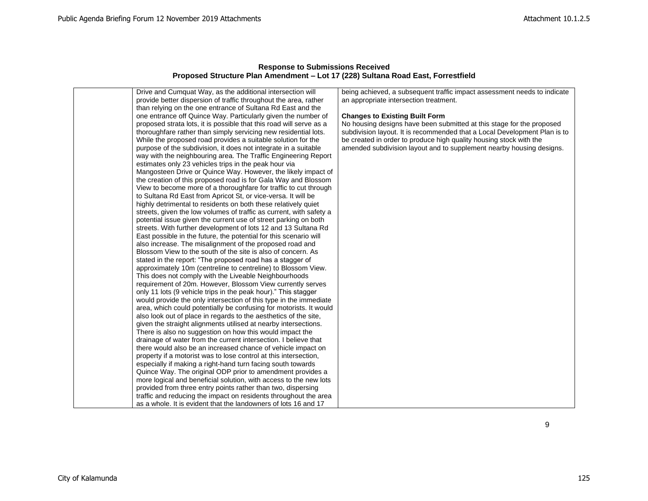| Drive and Cumquat Way, as the additional intersection will          |                                                                           |
|---------------------------------------------------------------------|---------------------------------------------------------------------------|
|                                                                     | being achieved, a subsequent traffic impact assessment needs to indicate  |
| provide better dispersion of traffic throughout the area, rather    | an appropriate intersection treatment.                                    |
| than relying on the one entrance of Sultana Rd East and the         |                                                                           |
| one entrance off Quince Way. Particularly given the number of       | <b>Changes to Existing Built Form</b>                                     |
| proposed strata lots, it is possible that this road will serve as a | No housing designs have been submitted at this stage for the proposed     |
| thoroughfare rather than simply servicing new residential lots.     | subdivision layout. It is recommended that a Local Development Plan is to |
| While the proposed road provides a suitable solution for the        | be created in order to produce high quality housing stock with the        |
| purpose of the subdivision, it does not integrate in a suitable     | amended subdivision layout and to supplement nearby housing designs.      |
| way with the neighbouring area. The Traffic Engineering Report      |                                                                           |
| estimates only 23 vehicles trips in the peak hour via               |                                                                           |
| Mangosteen Drive or Quince Way. However, the likely impact of       |                                                                           |
| the creation of this proposed road is for Gala Way and Blossom      |                                                                           |
| View to become more of a thoroughfare for traffic to cut through    |                                                                           |
| to Sultana Rd East from Apricot St, or vice-versa. It will be       |                                                                           |
| highly detrimental to residents on both these relatively quiet      |                                                                           |
| streets, given the low volumes of traffic as current, with safety a |                                                                           |
| potential issue given the current use of street parking on both     |                                                                           |
| streets. With further development of lots 12 and 13 Sultana Rd      |                                                                           |
| East possible in the future, the potential for this scenario will   |                                                                           |
| also increase. The misalignment of the proposed road and            |                                                                           |
| Blossom View to the south of the site is also of concern. As        |                                                                           |
| stated in the report: "The proposed road has a stagger of           |                                                                           |
| approximately 10m (centreline to centreline) to Blossom View.       |                                                                           |
| This does not comply with the Liveable Neighbourhoods               |                                                                           |
| requirement of 20m. However, Blossom View currently serves          |                                                                           |
| only 11 lots (9 vehicle trips in the peak hour)." This stagger      |                                                                           |
| would provide the only intersection of this type in the immediate   |                                                                           |
| area, which could potentially be confusing for motorists. It would  |                                                                           |
| also look out of place in regards to the aesthetics of the site,    |                                                                           |
| given the straight alignments utilised at nearby intersections.     |                                                                           |
| There is also no suggestion on how this would impact the            |                                                                           |
| drainage of water from the current intersection. I believe that     |                                                                           |
| there would also be an increased chance of vehicle impact on        |                                                                           |
| property if a motorist was to lose control at this intersection,    |                                                                           |
| especially if making a right-hand turn facing south towards         |                                                                           |
| Quince Way. The original ODP prior to amendment provides a          |                                                                           |
| more logical and beneficial solution, with access to the new lots   |                                                                           |
| provided from three entry points rather than two, dispersing        |                                                                           |
| traffic and reducing the impact on residents throughout the area    |                                                                           |
| as a whole. It is evident that the landowners of lots 16 and 17     |                                                                           |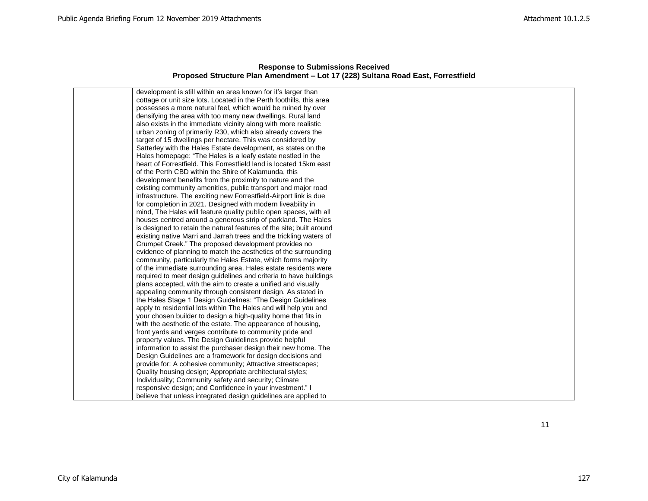| <b>Response to Submissions Received</b>                                          |  |  |
|----------------------------------------------------------------------------------|--|--|
| Proposed Structure Plan Amendment – Lot 17 (228) Sultana Road East, Forrestfield |  |  |

| development is still within an area known for it's larger than       |  |
|----------------------------------------------------------------------|--|
| cottage or unit size lots. Located in the Perth foothills, this area |  |
| possesses a more natural feel, which would be ruined by over         |  |
| densifying the area with too many new dwellings. Rural land          |  |
| also exists in the immediate vicinity along with more realistic      |  |
| urban zoning of primarily R30, which also already covers the         |  |
| target of 15 dwellings per hectare. This was considered by           |  |
| Satterley with the Hales Estate development, as states on the        |  |
| Hales homepage: "The Hales is a leafy estate nestled in the          |  |
| heart of Forrestfield. This Forrestfield land is located 15km east   |  |
| of the Perth CBD within the Shire of Kalamunda, this                 |  |
| development benefits from the proximity to nature and the            |  |
| existing community amenities, public transport and major road        |  |
| infrastructure. The exciting new Forrestfield-Airport link is due    |  |
| for completion in 2021. Designed with modern liveability in          |  |
| mind, The Hales will feature quality public open spaces, with all    |  |
| houses centred around a generous strip of parkland. The Hales        |  |
| is designed to retain the natural features of the site; built around |  |
| existing native Marri and Jarrah trees and the trickling waters of   |  |
| Crumpet Creek." The proposed development provides no                 |  |
| evidence of planning to match the aesthetics of the surrounding      |  |
| community, particularly the Hales Estate, which forms majority       |  |
| of the immediate surrounding area. Hales estate residents were       |  |
| required to meet design guidelines and criteria to have buildings    |  |
| plans accepted, with the aim to create a unified and visually        |  |
| appealing community through consistent design. As stated in          |  |
| the Hales Stage 1 Design Guidelines: "The Design Guidelines          |  |
| apply to residential lots within The Hales and will help you and     |  |
| your chosen builder to design a high-quality home that fits in       |  |
| with the aesthetic of the estate. The appearance of housing,         |  |
| front yards and verges contribute to community pride and             |  |
| property values. The Design Guidelines provide helpful               |  |
| information to assist the purchaser design their new home. The       |  |
| Design Guidelines are a framework for design decisions and           |  |
| provide for: A cohesive community; Attractive streetscapes;          |  |
| Quality housing design; Appropriate architectural styles;            |  |
| Individuality; Community safety and security; Climate                |  |
| responsive design; and Confidence in your investment." I             |  |
| believe that unless integrated design guidelines are applied to      |  |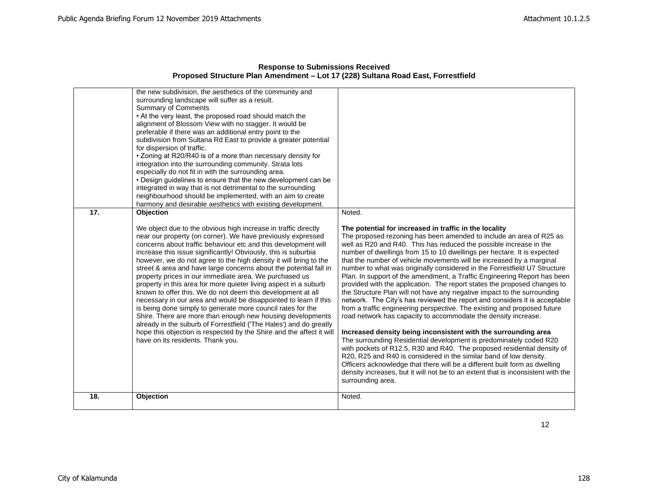|     | the new subdivision, the aesthetics of the community and<br>surrounding landscape will suffer as a result.<br><b>Summary of Comments</b><br>• At the very least, the proposed road should match the<br>alignment of Blossom View with no stagger. It would be<br>preferable if there was an additional entry point to the<br>subdivision from Sultana Rd East to provide a greater potential<br>for dispersion of traffic.<br>• Zoning at R20/R40 is of a more than necessary density for<br>integration into the surrounding community. Strata lots<br>especially do not fit in with the surrounding area.<br>• Design quidelines to ensure that the new development can be<br>integrated in way that is not detrimental to the surrounding<br>neighbourhood should be implemented, with an aim to create<br>harmony and desirable aesthetics with existing development.                                                                                                                                 |                                                                                                                                                                                                                                                                                                                                                                                                                                                                                                                                                                                                                                                                                                                                                                                                                                                                                                                                                                                                                                                                                                                                                                                                                                                                                                                                                                                              |
|-----|-----------------------------------------------------------------------------------------------------------------------------------------------------------------------------------------------------------------------------------------------------------------------------------------------------------------------------------------------------------------------------------------------------------------------------------------------------------------------------------------------------------------------------------------------------------------------------------------------------------------------------------------------------------------------------------------------------------------------------------------------------------------------------------------------------------------------------------------------------------------------------------------------------------------------------------------------------------------------------------------------------------|----------------------------------------------------------------------------------------------------------------------------------------------------------------------------------------------------------------------------------------------------------------------------------------------------------------------------------------------------------------------------------------------------------------------------------------------------------------------------------------------------------------------------------------------------------------------------------------------------------------------------------------------------------------------------------------------------------------------------------------------------------------------------------------------------------------------------------------------------------------------------------------------------------------------------------------------------------------------------------------------------------------------------------------------------------------------------------------------------------------------------------------------------------------------------------------------------------------------------------------------------------------------------------------------------------------------------------------------------------------------------------------------|
| 17. | Objection<br>We object due to the obvious high increase in traffic directly<br>near our property (on corner). We have previously expressed<br>concerns about traffic behaviour etc and this development will<br>increase this issue significantly! Obviously, this is suburbia<br>however, we do not agree to the high density it will bring to the<br>street & area and have large concerns about the potential fall in<br>property prices in our immediate area. We purchased us<br>property in this area for more quieter living aspect in a suburb<br>known to offer this. We do not deem this development at all<br>necessary in our area and would be disappointed to learn if this<br>is being done simply to generate more council rates for the<br>Shire. There are more than enough new housing developments<br>already in the suburb of Forrestfield ('The Hales') and do greatly<br>hope this objection is respected by the Shire and the affect it will<br>have on its residents. Thank you. | Noted.<br>The potential for increased in traffic in the locality<br>The proposed rezoning has been amended to include an area of R25 as<br>well as R20 and R40. This has reduced the possible increase in the<br>number of dwellings from 15 to 10 dwellings per hectare. It is expected<br>that the number of vehicle movements will be increased by a marginal<br>number to what was originally considered in the Forrestfield U7 Structure<br>Plan. In support of the amendment, a Traffic Engineering Report has been<br>provided with the application. The report states the proposed changes to<br>the Structure Plan will not have any negative impact to the surrounding<br>network. The City's has reviewed the report and considers it is acceptable<br>from a traffic engineering perspective. The existing and proposed future<br>road network has capacity to accommodate the density increase.<br>Increased density being inconsistent with the surrounding area<br>The surrounding Residential development is predominately coded R20<br>with pockets of R12.5, R30 and R40. The proposed residential density of<br>R20, R25 and R40 is considered in the similar band of low density.<br>Officers acknowledge that there will be a different built form as dwelling<br>density increases, but it will not be to an extent that is inconsistent with the<br>surrounding area. |
| 18. | Objection                                                                                                                                                                                                                                                                                                                                                                                                                                                                                                                                                                                                                                                                                                                                                                                                                                                                                                                                                                                                 | Noted.                                                                                                                                                                                                                                                                                                                                                                                                                                                                                                                                                                                                                                                                                                                                                                                                                                                                                                                                                                                                                                                                                                                                                                                                                                                                                                                                                                                       |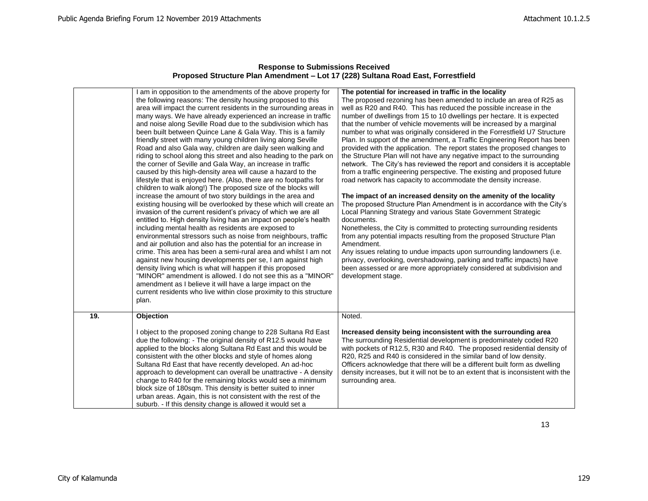|     | am in opposition to the amendments of the above property for<br>the following reasons: The density housing proposed to this | The potential for increased in traffic in the locality<br>The proposed rezoning has been amended to include an area of R25 as                 |
|-----|-----------------------------------------------------------------------------------------------------------------------------|-----------------------------------------------------------------------------------------------------------------------------------------------|
|     | area will impact the current residents in the surrounding areas in                                                          | well as R20 and R40. This has reduced the possible increase in the                                                                            |
|     | many ways. We have already experienced an increase in traffic                                                               | number of dwellings from 15 to 10 dwellings per hectare. It is expected                                                                       |
|     | and noise along Seville Road due to the subdivision which has                                                               | that the number of vehicle movements will be increased by a marginal                                                                          |
|     | been built between Quince Lane & Gala Way. This is a family                                                                 | number to what was originally considered in the Forrestfield U7 Structure                                                                     |
|     | friendly street with many young children living along Seville                                                               | Plan. In support of the amendment, a Traffic Engineering Report has been                                                                      |
|     | Road and also Gala way, children are daily seen walking and                                                                 | provided with the application. The report states the proposed changes to                                                                      |
|     | riding to school along this street and also heading to the park on                                                          | the Structure Plan will not have any negative impact to the surrounding                                                                       |
|     | the corner of Seville and Gala Way, an increase in traffic                                                                  | network. The City's has reviewed the report and considers it is acceptable                                                                    |
|     | caused by this high-density area will cause a hazard to the                                                                 | from a traffic engineering perspective. The existing and proposed future                                                                      |
|     | lifestyle that is enjoyed here. (Also, there are no footpaths for                                                           | road network has capacity to accommodate the density increase.                                                                                |
|     | children to walk along!) The proposed size of the blocks will                                                               |                                                                                                                                               |
|     | increase the amount of two story buildings in the area and                                                                  | The impact of an increased density on the amenity of the locality                                                                             |
|     | existing housing will be overlooked by these which will create an                                                           | The proposed Structure Plan Amendment is in accordance with the City's                                                                        |
|     | invasion of the current resident's privacy of which we are all                                                              | Local Planning Strategy and various State Government Strategic                                                                                |
|     | entitled to. High density living has an impact on people's health                                                           | documents.                                                                                                                                    |
|     | including mental health as residents are exposed to                                                                         | Nonetheless, the City is committed to protecting surrounding residents                                                                        |
|     | environmental stressors such as noise from neighbours, traffic                                                              | from any potential impacts resulting from the proposed Structure Plan                                                                         |
|     | and air pollution and also has the potential for an increase in                                                             | Amendment.                                                                                                                                    |
|     | crime. This area has been a semi-rural area and whilst I am not                                                             | Any issues relating to undue impacts upon surrounding landowners (i.e.                                                                        |
|     | against new housing developments per se, I am against high                                                                  | privacy, overlooking, overshadowing, parking and traffic impacts) have                                                                        |
|     | density living which is what will happen if this proposed                                                                   | been assessed or are more appropriately considered at subdivision and                                                                         |
|     | "MINOR" amendment is allowed. I do not see this as a "MINOR"                                                                | development stage.                                                                                                                            |
|     | amendment as I believe it will have a large impact on the                                                                   |                                                                                                                                               |
|     | current residents who live within close proximity to this structure                                                         |                                                                                                                                               |
|     | plan.                                                                                                                       |                                                                                                                                               |
| 19. | Objection                                                                                                                   | Noted.                                                                                                                                        |
|     |                                                                                                                             |                                                                                                                                               |
|     | I object to the proposed zoning change to 228 Sultana Rd East                                                               | Increased density being inconsistent with the surrounding area                                                                                |
|     | due the following: - The original density of R12.5 would have                                                               | The surrounding Residential development is predominately coded R20                                                                            |
|     | applied to the blocks along Sultana Rd East and this would be<br>consistent with the other blocks and style of homes along  | with pockets of R12.5, R30 and R40. The proposed residential density of<br>R20, R25 and R40 is considered in the similar band of low density. |
|     | Sultana Rd East that have recently developed. An ad-hoc                                                                     | Officers acknowledge that there will be a different built form as dwelling                                                                    |
|     | approach to development can overall be unattractive - A density                                                             | density increases, but it will not be to an extent that is inconsistent with the                                                              |
|     | change to R40 for the remaining blocks would see a minimum                                                                  | surrounding area.                                                                                                                             |
|     | block size of 180sqm. This density is better suited to inner                                                                |                                                                                                                                               |
|     | urban areas. Again, this is not consistent with the rest of the                                                             |                                                                                                                                               |
|     | suburb. - If this density change is allowed it would set a                                                                  |                                                                                                                                               |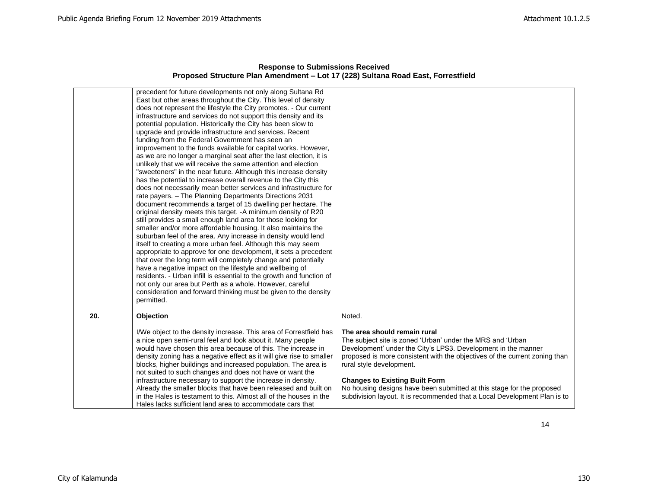|     | precedent for future developments not only along Sultana Rd<br>East but other areas throughout the City. This level of density<br>does not represent the lifestyle the City promotes. - Our current<br>infrastructure and services do not support this density and its<br>potential population. Historically the City has been slow to<br>upgrade and provide infrastructure and services. Recent<br>funding from the Federal Government has seen an<br>improvement to the funds available for capital works. However,<br>as we are no longer a marginal seat after the last election, it is<br>unlikely that we will receive the same attention and election<br>"sweeteners" in the near future. Although this increase density<br>has the potential to increase overall revenue to the City this<br>does not necessarily mean better services and infrastructure for<br>rate payers. - The Planning Departments Directions 2031<br>document recommends a target of 15 dwelling per hectare. The<br>original density meets this target. - A minimum density of R20<br>still provides a small enough land area for those looking for<br>smaller and/or more affordable housing. It also maintains the<br>suburban feel of the area. Any increase in density would lend<br>itself to creating a more urban feel. Although this may seem<br>appropriate to approve for one development, it sets a precedent<br>that over the long term will completely change and potentially<br>have a negative impact on the lifestyle and wellbeing of<br>residents. - Urban infill is essential to the growth and function of<br>not only our area but Perth as a whole. However, careful<br>consideration and forward thinking must be given to the density<br>permitted. |                                                                                                                                                                                                                                                                                                                                                                                                                                                                      |
|-----|--------------------------------------------------------------------------------------------------------------------------------------------------------------------------------------------------------------------------------------------------------------------------------------------------------------------------------------------------------------------------------------------------------------------------------------------------------------------------------------------------------------------------------------------------------------------------------------------------------------------------------------------------------------------------------------------------------------------------------------------------------------------------------------------------------------------------------------------------------------------------------------------------------------------------------------------------------------------------------------------------------------------------------------------------------------------------------------------------------------------------------------------------------------------------------------------------------------------------------------------------------------------------------------------------------------------------------------------------------------------------------------------------------------------------------------------------------------------------------------------------------------------------------------------------------------------------------------------------------------------------------------------------------------------------------------------------------------------------------------------------------------|----------------------------------------------------------------------------------------------------------------------------------------------------------------------------------------------------------------------------------------------------------------------------------------------------------------------------------------------------------------------------------------------------------------------------------------------------------------------|
| 20. | Objection                                                                                                                                                                                                                                                                                                                                                                                                                                                                                                                                                                                                                                                                                                                                                                                                                                                                                                                                                                                                                                                                                                                                                                                                                                                                                                                                                                                                                                                                                                                                                                                                                                                                                                                                                    | Noted.                                                                                                                                                                                                                                                                                                                                                                                                                                                               |
|     | I/We object to the density increase. This area of Forrestfield has<br>a nice open semi-rural feel and look about it. Many people<br>would have chosen this area because of this. The increase in<br>density zoning has a negative effect as it will give rise to smaller<br>blocks, higher buildings and increased population. The area is<br>not suited to such changes and does not have or want the<br>infrastructure necessary to support the increase in density.<br>Already the smaller blocks that have been released and built on<br>in the Hales is testament to this. Almost all of the houses in the<br>Hales lacks sufficient land area to accommodate cars that                                                                                                                                                                                                                                                                                                                                                                                                                                                                                                                                                                                                                                                                                                                                                                                                                                                                                                                                                                                                                                                                                 | The area should remain rural<br>The subject site is zoned 'Urban' under the MRS and 'Urban<br>Development' under the City's LPS3. Development in the manner<br>proposed is more consistent with the objectives of the current zoning than<br>rural style development.<br><b>Changes to Existing Built Form</b><br>No housing designs have been submitted at this stage for the proposed<br>subdivision layout. It is recommended that a Local Development Plan is to |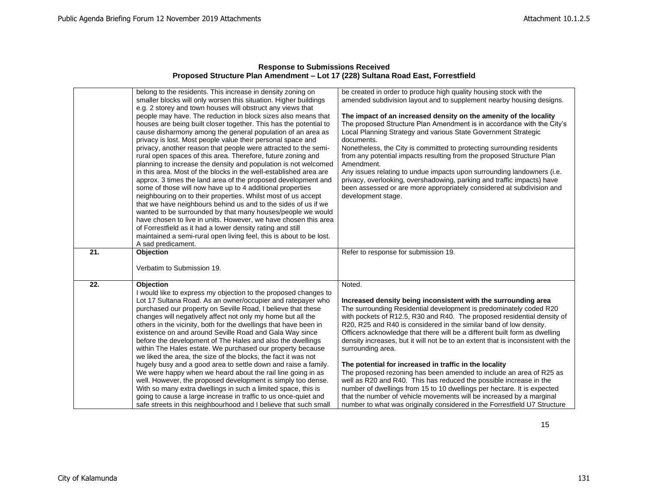| <b>Response to Submissions Received</b>                                          |
|----------------------------------------------------------------------------------|
| Proposed Structure Plan Amendment – Lot 17 (228) Sultana Road East, Forrestfield |

|     | belong to the residents. This increase in density zoning on                                                                      | be created in order to produce high quality housing stock with the                                                                                             |
|-----|----------------------------------------------------------------------------------------------------------------------------------|----------------------------------------------------------------------------------------------------------------------------------------------------------------|
|     | smaller blocks will only worsen this situation. Higher buildings<br>e.g. 2 storey and town houses will obstruct any views that   | amended subdivision layout and to supplement nearby housing designs.                                                                                           |
|     | people may have. The reduction in block sizes also means that                                                                    | The impact of an increased density on the amenity of the locality                                                                                              |
|     | houses are being built closer together. This has the potential to                                                                | The proposed Structure Plan Amendment is in accordance with the City's                                                                                         |
|     | cause disharmony among the general population of an area as                                                                      | Local Planning Strategy and various State Government Strategic                                                                                                 |
|     | privacy is lost. Most people value their personal space and                                                                      | documents.                                                                                                                                                     |
|     | privacy, another reason that people were attracted to the semi-                                                                  | Nonetheless, the City is committed to protecting surrounding residents                                                                                         |
|     | rural open spaces of this area. Therefore, future zoning and                                                                     | from any potential impacts resulting from the proposed Structure Plan                                                                                          |
|     | planning to increase the density and population is not welcomed                                                                  | Amendment.                                                                                                                                                     |
|     | in this area. Most of the blocks in the well-established area are                                                                | Any issues relating to undue impacts upon surrounding landowners (i.e.                                                                                         |
|     | approx. 3 times the land area of the proposed development and                                                                    | privacy, overlooking, overshadowing, parking and traffic impacts) have                                                                                         |
|     | some of those will now have up to 4 additional properties                                                                        | been assessed or are more appropriately considered at subdivision and                                                                                          |
|     | neighbouring on to their properties. Whilst most of us accept                                                                    | development stage.                                                                                                                                             |
|     | that we have neighbours behind us and to the sides of us if we                                                                   |                                                                                                                                                                |
|     | wanted to be surrounded by that many houses/people we would<br>have chosen to live in units. However, we have chosen this area   |                                                                                                                                                                |
|     | of Forrestfield as it had a lower density rating and still                                                                       |                                                                                                                                                                |
|     | maintained a semi-rural open living feel, this is about to be lost.                                                              |                                                                                                                                                                |
|     | A sad predicament.                                                                                                               |                                                                                                                                                                |
| 21. | Objection                                                                                                                        | Refer to response for submission 19.                                                                                                                           |
|     | Verbatim to Submission 19.                                                                                                       |                                                                                                                                                                |
|     |                                                                                                                                  |                                                                                                                                                                |
| 22. | Objection                                                                                                                        | Noted.                                                                                                                                                         |
|     | I would like to express my objection to the proposed changes to                                                                  |                                                                                                                                                                |
|     | Lot 17 Sultana Road. As an owner/occupier and ratepayer who<br>purchased our property on Seville Road, I believe that these      | Increased density being inconsistent with the surrounding area<br>The surrounding Residential development is predominately coded R20                           |
|     | changes will negatively affect not only my home but all the                                                                      | with pockets of R12.5, R30 and R40. The proposed residential density of                                                                                        |
|     |                                                                                                                                  |                                                                                                                                                                |
|     |                                                                                                                                  |                                                                                                                                                                |
|     | others in the vicinity, both for the dwellings that have been in                                                                 | R20, R25 and R40 is considered in the similar band of low density.                                                                                             |
|     | existence on and around Seville Road and Gala Way since<br>before the development of The Hales and also the dwellings            | Officers acknowledge that there will be a different built form as dwelling<br>density increases, but it will not be to an extent that is inconsistent with the |
|     | within The Hales estate. We purchased our property because                                                                       | surrounding area.                                                                                                                                              |
|     | we liked the area, the size of the blocks, the fact it was not                                                                   |                                                                                                                                                                |
|     | hugely busy and a good area to settle down and raise a family.                                                                   | The potential for increased in traffic in the locality                                                                                                         |
|     | We were happy when we heard about the rail line going in as                                                                      | The proposed rezoning has been amended to include an area of R25 as                                                                                            |
|     | well. However, the proposed development is simply too dense.                                                                     | well as R20 and R40. This has reduced the possible increase in the                                                                                             |
|     | With so many extra dwellings in such a limited space, this is<br>going to cause a large increase in traffic to us once-quiet and | number of dwellings from 15 to 10 dwellings per hectare. It is expected<br>that the number of vehicle movements will be increased by a marginal                |
|     |                                                                                                                                  |                                                                                                                                                                |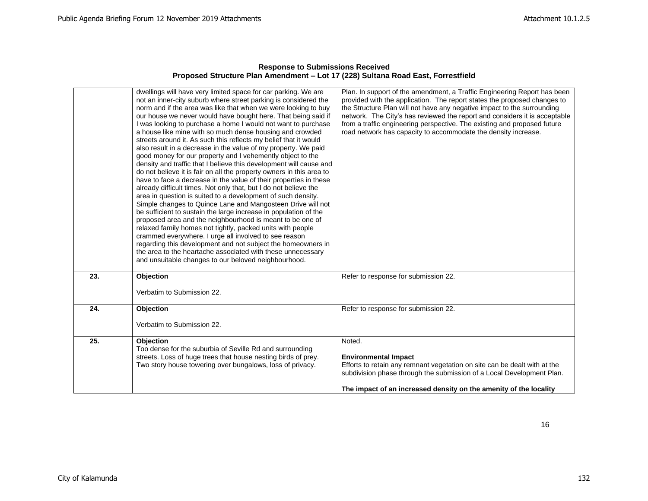|     | dwellings will have very limited space for car parking. We are<br>not an inner-city suburb where street parking is considered the<br>norm and if the area was like that when we were looking to buy<br>our house we never would have bought here. That being said if<br>I was looking to purchase a home I would not want to purchase<br>a house like mine with so much dense housing and crowded<br>streets around it. As such this reflects my belief that it would<br>also result in a decrease in the value of my property. We paid<br>good money for our property and I vehemently object to the<br>density and traffic that I believe this development will cause and<br>do not believe it is fair on all the property owners in this area to<br>have to face a decrease in the value of their properties in these<br>already difficult times. Not only that, but I do not believe the<br>area in question is suited to a development of such density.<br>Simple changes to Quince Lane and Mangosteen Drive will not<br>be sufficient to sustain the large increase in population of the<br>proposed area and the neighbourhood is meant to be one of<br>relaxed family homes not tightly, packed units with people<br>crammed everywhere. I urge all involved to see reason<br>regarding this development and not subject the homeowners in<br>the area to the heartache associated with these unnecessary<br>and unsuitable changes to our beloved neighbourhood. | Plan. In support of the amendment, a Traffic Engineering Report has been<br>provided with the application. The report states the proposed changes to<br>the Structure Plan will not have any negative impact to the surrounding<br>network. The City's has reviewed the report and considers it is acceptable<br>from a traffic engineering perspective. The existing and proposed future<br>road network has capacity to accommodate the density increase. |
|-----|----------------------------------------------------------------------------------------------------------------------------------------------------------------------------------------------------------------------------------------------------------------------------------------------------------------------------------------------------------------------------------------------------------------------------------------------------------------------------------------------------------------------------------------------------------------------------------------------------------------------------------------------------------------------------------------------------------------------------------------------------------------------------------------------------------------------------------------------------------------------------------------------------------------------------------------------------------------------------------------------------------------------------------------------------------------------------------------------------------------------------------------------------------------------------------------------------------------------------------------------------------------------------------------------------------------------------------------------------------------------------------------------------------------------------------------------------------------------------|-------------------------------------------------------------------------------------------------------------------------------------------------------------------------------------------------------------------------------------------------------------------------------------------------------------------------------------------------------------------------------------------------------------------------------------------------------------|
| 23. | <b>Objection</b><br>Verbatim to Submission 22.                                                                                                                                                                                                                                                                                                                                                                                                                                                                                                                                                                                                                                                                                                                                                                                                                                                                                                                                                                                                                                                                                                                                                                                                                                                                                                                                                                                                                             | Refer to response for submission 22.                                                                                                                                                                                                                                                                                                                                                                                                                        |
| 24. | Objection<br>Verbatim to Submission 22.                                                                                                                                                                                                                                                                                                                                                                                                                                                                                                                                                                                                                                                                                                                                                                                                                                                                                                                                                                                                                                                                                                                                                                                                                                                                                                                                                                                                                                    | Refer to response for submission 22.                                                                                                                                                                                                                                                                                                                                                                                                                        |
| 25. | Objection<br>Too dense for the suburbia of Seville Rd and surrounding<br>streets. Loss of huge trees that house nesting birds of prey.<br>Two story house towering over bungalows, loss of privacy.                                                                                                                                                                                                                                                                                                                                                                                                                                                                                                                                                                                                                                                                                                                                                                                                                                                                                                                                                                                                                                                                                                                                                                                                                                                                        | Noted.<br><b>Environmental Impact</b><br>Efforts to retain any remnant vegetation on site can be dealt with at the<br>subdivision phase through the submission of a Local Development Plan.<br>The impact of an increased density on the amenity of the locality                                                                                                                                                                                            |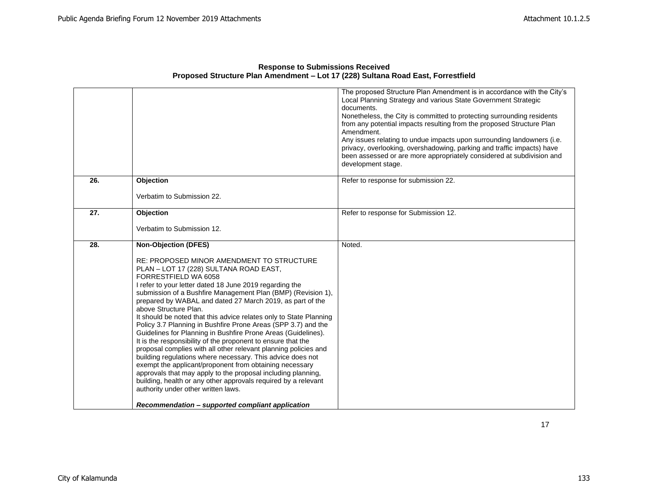|     |                                                                                                                                 | The proposed Structure Plan Amendment is in accordance with the City's<br>Local Planning Strategy and various State Government Strategic<br>documents.<br>Nonetheless, the City is committed to protecting surrounding residents<br>from any potential impacts resulting from the proposed Structure Plan<br>Amendment.<br>Any issues relating to undue impacts upon surrounding landowners (i.e. |
|-----|---------------------------------------------------------------------------------------------------------------------------------|---------------------------------------------------------------------------------------------------------------------------------------------------------------------------------------------------------------------------------------------------------------------------------------------------------------------------------------------------------------------------------------------------|
|     |                                                                                                                                 | privacy, overlooking, overshadowing, parking and traffic impacts) have<br>been assessed or are more appropriately considered at subdivision and<br>development stage.                                                                                                                                                                                                                             |
| 26. | Objection                                                                                                                       | Refer to response for submission 22.                                                                                                                                                                                                                                                                                                                                                              |
|     | Verbatim to Submission 22.                                                                                                      |                                                                                                                                                                                                                                                                                                                                                                                                   |
| 27. | <b>Objection</b>                                                                                                                | Refer to response for Submission 12.                                                                                                                                                                                                                                                                                                                                                              |
|     | Verbatim to Submission 12.                                                                                                      |                                                                                                                                                                                                                                                                                                                                                                                                   |
| 28. | <b>Non-Objection (DFES)</b>                                                                                                     | Noted.                                                                                                                                                                                                                                                                                                                                                                                            |
|     | RE: PROPOSED MINOR AMENDMENT TO STRUCTURE<br>PLAN - LOT 17 (228) SULTANA ROAD EAST,<br>FORRESTFIELD WA 6058                     |                                                                                                                                                                                                                                                                                                                                                                                                   |
|     | I refer to your letter dated 18 June 2019 regarding the                                                                         |                                                                                                                                                                                                                                                                                                                                                                                                   |
|     | submission of a Bushfire Management Plan (BMP) (Revision 1),<br>prepared by WABAL and dated 27 March 2019, as part of the       |                                                                                                                                                                                                                                                                                                                                                                                                   |
|     | above Structure Plan.<br>It should be noted that this advice relates only to State Planning                                     |                                                                                                                                                                                                                                                                                                                                                                                                   |
|     | Policy 3.7 Planning in Bushfire Prone Areas (SPP 3.7) and the<br>Guidelines for Planning in Bushfire Prone Areas (Guidelines).  |                                                                                                                                                                                                                                                                                                                                                                                                   |
|     | It is the responsibility of the proponent to ensure that the<br>proposal complies with all other relevant planning policies and |                                                                                                                                                                                                                                                                                                                                                                                                   |
|     | building regulations where necessary. This advice does not                                                                      |                                                                                                                                                                                                                                                                                                                                                                                                   |
|     | exempt the applicant/proponent from obtaining necessary<br>approvals that may apply to the proposal including planning,         |                                                                                                                                                                                                                                                                                                                                                                                                   |
|     | building, health or any other approvals required by a relevant<br>authority under other written laws.                           |                                                                                                                                                                                                                                                                                                                                                                                                   |
|     | Recommendation – supported compliant application                                                                                |                                                                                                                                                                                                                                                                                                                                                                                                   |